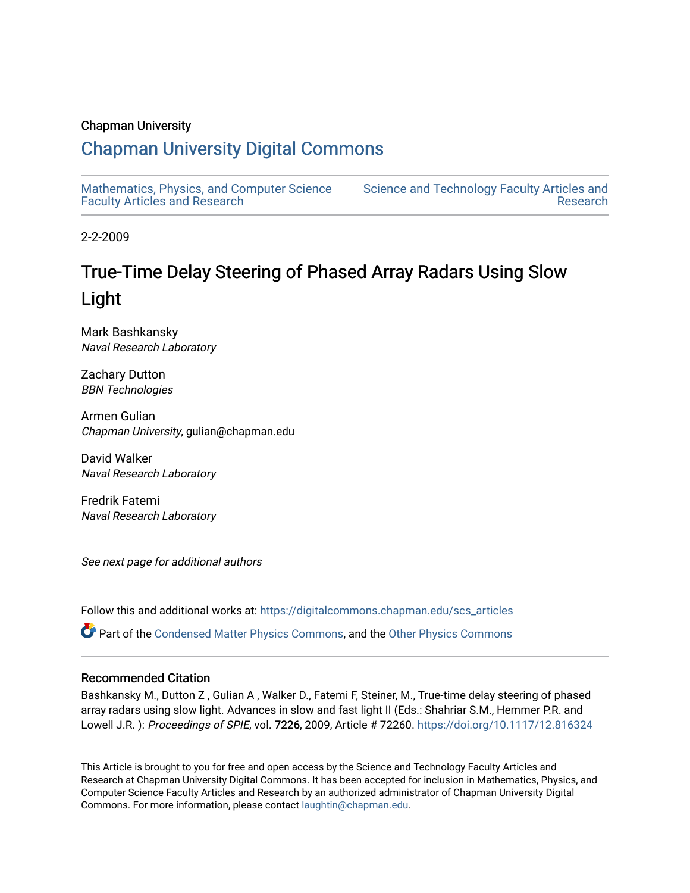### Chapman University

## [Chapman University Digital Commons](https://digitalcommons.chapman.edu/)

[Mathematics, Physics, and Computer Science](https://digitalcommons.chapman.edu/scs_articles)  [Faculty Articles and Research](https://digitalcommons.chapman.edu/scs_articles)

[Science and Technology Faculty Articles and](https://digitalcommons.chapman.edu/science_articles)  [Research](https://digitalcommons.chapman.edu/science_articles) 

2-2-2009

# True-Time Delay Steering of Phased Array Radars Using Slow Light

Mark Bashkansky Naval Research Laboratory

Zachary Dutton BBN Technologies

Armen Gulian Chapman University, gulian@chapman.edu

David Walker Naval Research Laboratory

Fredrik Fatemi Naval Research Laboratory

See next page for additional authors

Follow this and additional works at: [https://digitalcommons.chapman.edu/scs\\_articles](https://digitalcommons.chapman.edu/scs_articles?utm_source=digitalcommons.chapman.edu%2Fscs_articles%2F770&utm_medium=PDF&utm_campaign=PDFCoverPages) 

Part of the [Condensed Matter Physics Commons,](http://network.bepress.com/hgg/discipline/197?utm_source=digitalcommons.chapman.edu%2Fscs_articles%2F770&utm_medium=PDF&utm_campaign=PDFCoverPages) and the [Other Physics Commons](http://network.bepress.com/hgg/discipline/207?utm_source=digitalcommons.chapman.edu%2Fscs_articles%2F770&utm_medium=PDF&utm_campaign=PDFCoverPages) 

## Recommended Citation

Bashkansky M., Dutton Z , Gulian A , Walker D., Fatemi F, Steiner, M., True-time delay steering of phased array radars using slow light. Advances in slow and fast light II (Eds.: Shahriar S.M., Hemmer P.R. and Lowell J.R. ): Proceedings of SPIE, vol. 7226, 2009, Article # 72260. <https://doi.org/10.1117/12.816324>

This Article is brought to you for free and open access by the Science and Technology Faculty Articles and Research at Chapman University Digital Commons. It has been accepted for inclusion in Mathematics, Physics, and Computer Science Faculty Articles and Research by an authorized administrator of Chapman University Digital Commons. For more information, please contact [laughtin@chapman.edu.](mailto:laughtin@chapman.edu)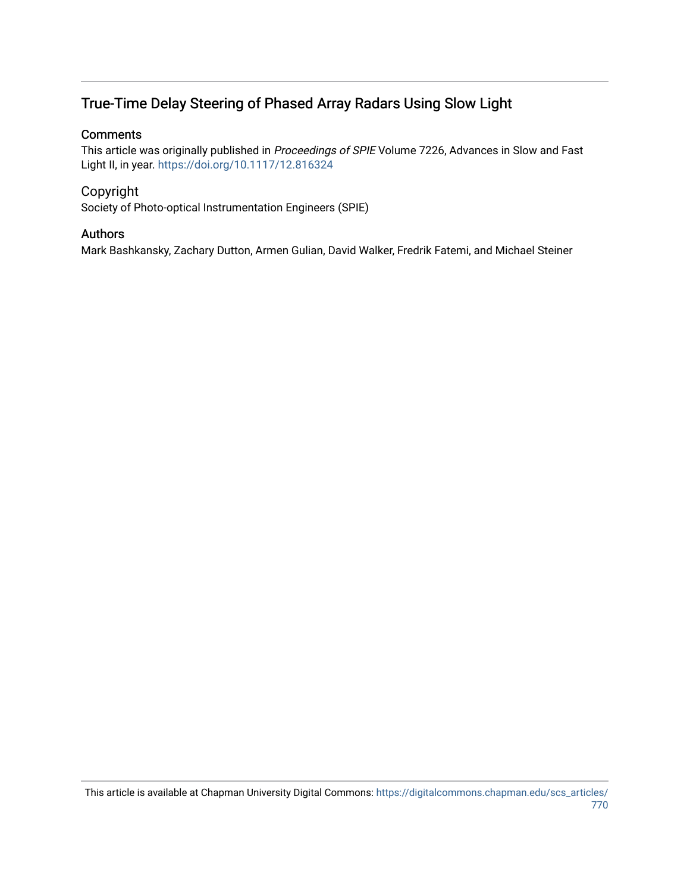## True-Time Delay Steering of Phased Array Radars Using Slow Light

## **Comments**

This article was originally published in Proceedings of SPIE Volume 7226, Advances in Slow and Fast Light II, in year.<https://doi.org/10.1117/12.816324>

## Copyright

Society of Photo-optical Instrumentation Engineers (SPIE)

## Authors

Mark Bashkansky, Zachary Dutton, Armen Gulian, David Walker, Fredrik Fatemi, and Michael Steiner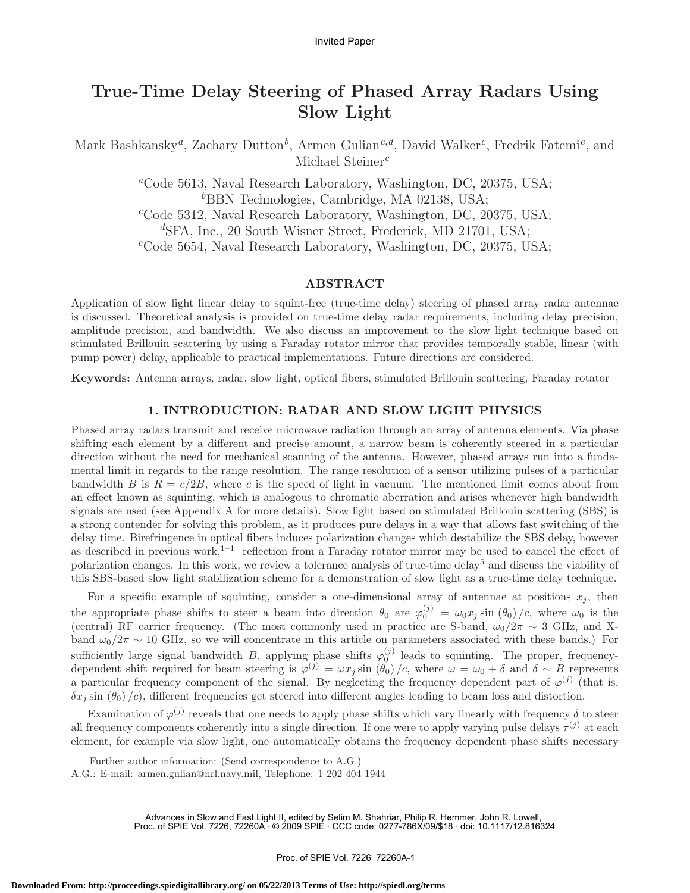## **True-Time Delay Steering of Phased Array Radars Using Slow Light**

Mark Bashkansky<sup>a</sup>, Zachary Dutton<sup>b</sup>, Armen Gulian<sup>c,d</sup>, David Walker<sup>c</sup>, Fredrik Fatemi<sup>e</sup>, and Michael Steiner<sup>c</sup>

> <sup>a</sup>Code 5613, Naval Research Laboratory, Washington, DC, 20375, USA; <sup>b</sup>BBN Technologies, Cambridge, MA 02138, USA;  $^c$ Code 5312, Naval Research Laboratory, Washington, DC, 20375, USA; <sup>d</sup>SFA, Inc., 20 South Wisner Street, Frederick, MD 21701, USA;  ${}^e$ Code 5654, Naval Research Laboratory, Washington, DC, 20375, USA;

#### **ABSTRACT**

Application of slow light linear delay to squint-free (true-time delay) steering of phased array radar antennae is discussed. Theoretical analysis is provided on true-time delay radar requirements, including delay precision, amplitude precision, and bandwidth. We also discuss an improvement to the slow light technique based on stimulated Brillouin scattering by using a Faraday rotator mirror that provides temporally stable, linear (with pump power) delay, applicable to practical implementations. Future directions are considered.

**Keywords:** Antenna arrays, radar, slow light, optical fibers, stimulated Brillouin scattering, Faraday rotator

#### **1. INTRODUCTION: RADAR AND SLOW LIGHT PHYSICS**

Phased array radars transmit and receive microwave radiation through an array of antenna elements. Via phase shifting each element by a different and precise amount, a narrow beam is coherently steered in a particular direction without the need for mechanical scanning of the antenna. However, phased arrays run into a fundamental limit in regards to the range resolution. The range resolution of a sensor utilizing pulses of a particular bandwidth B is  $R = c/2B$ , where c is the speed of light in vacuum. The mentioned limit comes about from an effect known as squinting, which is analogous to chromatic aberration and arises whenever high bandwidth signals are used (see Appendix A for more details). Slow light based on stimulated Brillouin scattering (SBS) is a strong contender for solving this problem, as it produces pure delays in a way that allows fast switching of the delay time. Birefringence in optical fibers induces polarization changes which destabilize the SBS delay, however as described in previous work, $1-4$  reflection from a Faraday rotator mirror may be used to cancel the effect of polarization changes. In this work, we review a tolerance analysis of true-time delay<sup>5</sup> and discuss the viability of this SBS-based slow light stabilization scheme for a demonstration of slow light as a true-time delay technique.

For a specific example of squinting, consider a one-dimensional array of antennae at positions  $x_i$ , then the appropriate phase shifts to steer a beam into direction  $\theta_0$  are  $\varphi_0^{(j)} = \omega_0 x_j \sin (\theta_0)/c$ , where  $\omega_0$  is the (central) RF carrier frequency. (The most commonly used in practice are S-band,  $\omega_0/2\pi \sim 3$  GHz, and Xband  $\omega_0/2\pi \sim 10$  GHz, so we will concentrate in this article on parameters associated with these bands.) For sufficiently large signal bandwidth B, applying phase shifts  $\varphi_0^{(j)}$  leads to squinting. The proper, frequencydependent shift required for beam steering is  $\varphi^{(j)} = \omega x_j \sin(\theta_0)/c$ , where  $\omega = \omega_0 + \delta$  and  $\delta \sim B$  represents a particular frequency component of the signal. By neglecting the frequency dependent part of  $\varphi^{(j)}$  (that is,  $\delta x_j$  sin  $(\theta_0)/c$ , different frequencies get steered into different angles leading to beam loss and distortion.

Examination of  $\varphi^{(j)}$  reveals that one needs to apply phase shifts which vary linearly with frequency  $\delta$  to steer all frequency components coherently into a single direction. If one were to apply varying pulse delays  $\tau^{(j)}$  at each element, for example via slow light, one automatically obtains the frequency dependent phase shifts necessary

Advances in Slow and Fast Light II, edited by Selim M. Shahriar, Philip R. Hemmer, John R. Lowell, Proc. of SPIE Vol. 7226, 72260A · © 2009 SPIE · CCC code: 0277-786X/09/\$18 · doi: 10.1117/12.816324

Further author information: (Send correspondence to A.G.)

A.G.: E-mail: armen.gulian@nrl.navy.mil, Telephone: 1 202 404 1944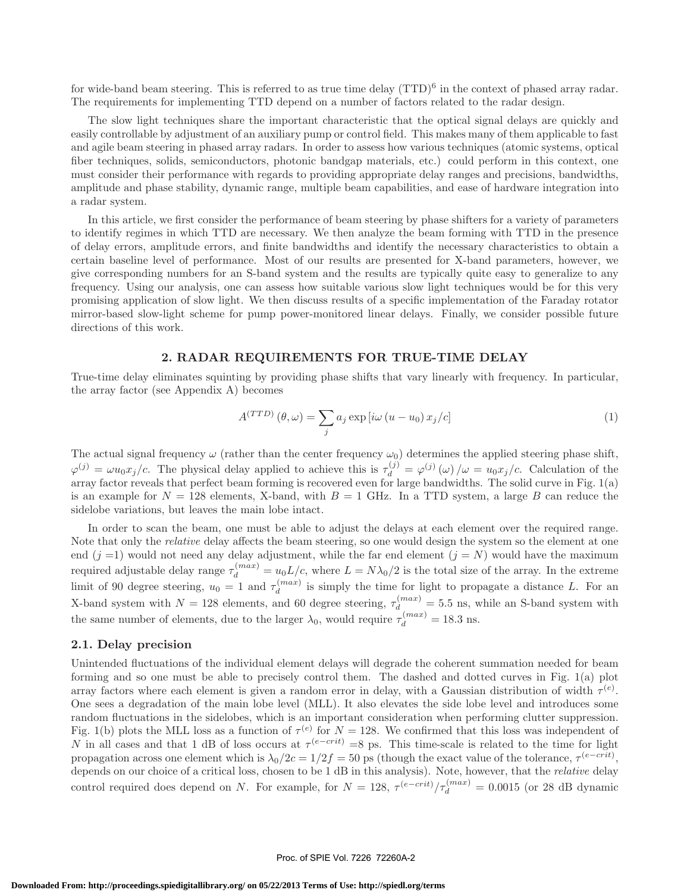for wide-band beam steering. This is referred to as true time delay  $(TTD)^6$  in the context of phased array radar. The requirements for implementing TTD depend on a number of factors related to the radar design.

The slow light techniques share the important characteristic that the optical signal delays are quickly and easily controllable by adjustment of an auxiliary pump or control field. This makes many of them applicable to fast and agile beam steering in phased array radars. In order to assess how various techniques (atomic systems, optical fiber techniques, solids, semiconductors, photonic bandgap materials, etc.) could perform in this context, one must consider their performance with regards to providing appropriate delay ranges and precisions, bandwidths, amplitude and phase stability, dynamic range, multiple beam capabilities, and ease of hardware integration into a radar system.

In this article, we first consider the performance of beam steering by phase shifters for a variety of parameters to identify regimes in which TTD are necessary. We then analyze the beam forming with TTD in the presence of delay errors, amplitude errors, and finite bandwidths and identify the necessary characteristics to obtain a certain baseline level of performance. Most of our results are presented for X-band parameters, however, we give corresponding numbers for an S-band system and the results are typically quite easy to generalize to any frequency. Using our analysis, one can assess how suitable various slow light techniques would be for this very promising application of slow light. We then discuss results of a specific implementation of the Faraday rotator mirror-based slow-light scheme for pump power-monitored linear delays. Finally, we consider possible future directions of this work.

#### **2. RADAR REQUIREMENTS FOR TRUE-TIME DELAY**

True-time delay eliminates squinting by providing phase shifts that vary linearly with frequency. In particular, the array factor (see Appendix A) becomes

$$
A^{(TTD)}(\theta,\omega) = \sum_{j} a_j \exp[i\omega(u-u_0)x_j/c]
$$
 (1)

The actual signal frequency  $\omega$  (rather than the center frequency  $\omega_0$ ) determines the applied steering phase shift,  $\varphi^{(j)} = \omega u_0 x_j/c$ . The physical delay applied to achieve this is  $\tau_d^{(j)} = \varphi^{(j)}(\omega)/\omega = u_0 x_j/c$ . Calculation of the array factor reveals that perfect beam forming is recovered even for large bandwidths. The solid curve in Fig. 1(a) is an example for  $N = 128$  elements, X-band, with  $B = 1$  GHz. In a TTD system, a large B can reduce the sidelobe variations, but leaves the main lobe intact.

In order to scan the beam, one must be able to adjust the delays at each element over the required range. Note that only the *relative* delay affects the beam steering, so one would design the system so the element at one end  $(j =1)$  would not need any delay adjustment, while the far end element  $(j = N)$  would have the maximum required adjustable delay range  $\tau_d^{(max)} = u_0 L/c$ , where  $L = N\lambda_0/2$  is the total size of the array. In the extreme limit of 90 degree steering,  $u_0 = 1$  and  $\tau_d^{(max)}$  is simply the time for light to propagate a distance L. For an X-band system with  $N = 128$  elements, and 60 degree steering,  $\tau_d^{(max)} = 5.5$  ns, while an S-band system with the same number of elements, due to the larger  $\lambda_0$ , would require  $\tau_d^{(max)} = 18.3$  ns.

#### **2.1. Delay precision**

Unintended fluctuations of the individual element delays will degrade the coherent summation needed for beam forming and so one must be able to precisely control them. The dashed and dotted curves in Fig. 1(a) plot array factors where each element is given a random error in delay, with a Gaussian distribution of width  $\tau^{(e)}$ . One sees a degradation of the main lobe level (MLL). It also elevates the side lobe level and introduces some random fluctuations in the sidelobes, which is an important consideration when performing clutter suppression. Fig. 1(b) plots the MLL loss as a function of  $\tau^{(e)}$  for  $N = 128$ . We confirmed that this loss was independent of N in all cases and that 1 dB of loss occurs at  $\tau^{(e-crit)} = 8$  ps. This time-scale is related to the time for light propagation across one element which is  $\lambda_0/2c = 1/2f = 50$  ps (though the exact value of the tolerance,  $\tau^{(e-crit)}$ , depends on our choice of a critical loss, chosen to be 1 dB in this analysis). Note, however, that the *relative* delay control required does depend on N. For example, for  $N = 128$ ,  $\tau^{(e-crit)}/\tau_d^{(max)} = 0.0015$  (or 28 dB dynamic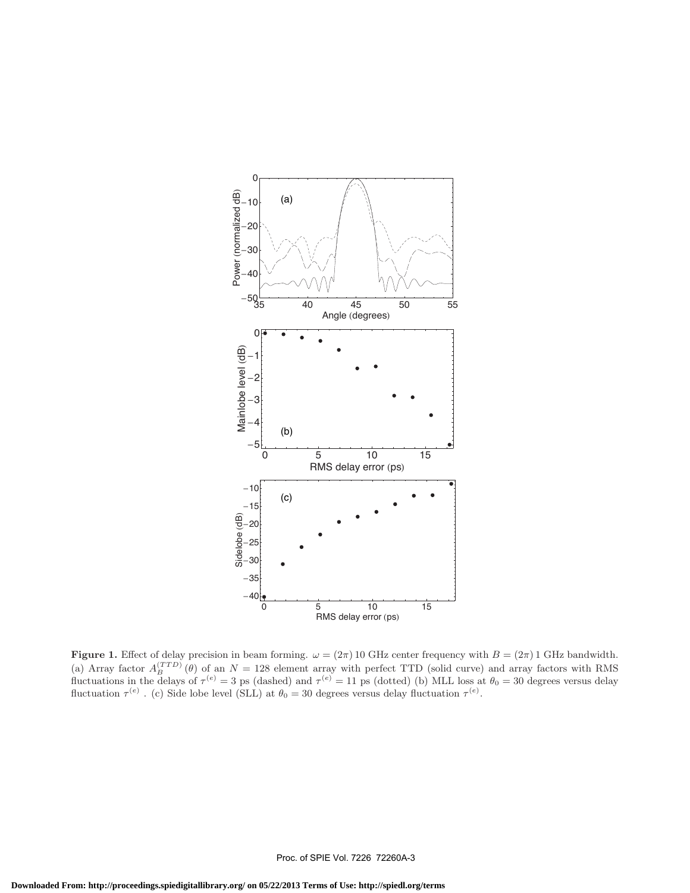

**Figure 1.** Effect of delay precision in beam forming.  $\omega = (2\pi) 10 \text{ GHz}$  center frequency with  $B = (2\pi) 1 \text{ GHz}$  bandwidth.<br>(a) Array factor  $A_B^{(TTD)}(\theta)$  of an  $N = 128$  element array with perfect TTD (solid curve) and arr fluctuations in the delays of  $\tau^{(e)} = 3$  ps (dashed) and  $\tau^{(e)} = 11$  ps (dotted) (b) MLL loss at  $\theta_0 = 30$  degrees versus delay fluctuation  $\tau^{(e)}$ . (c) Side lobe level (SLL) at  $\theta_0 = 30$  degrees versus delay fluctuation  $\tau^{(e)}$ .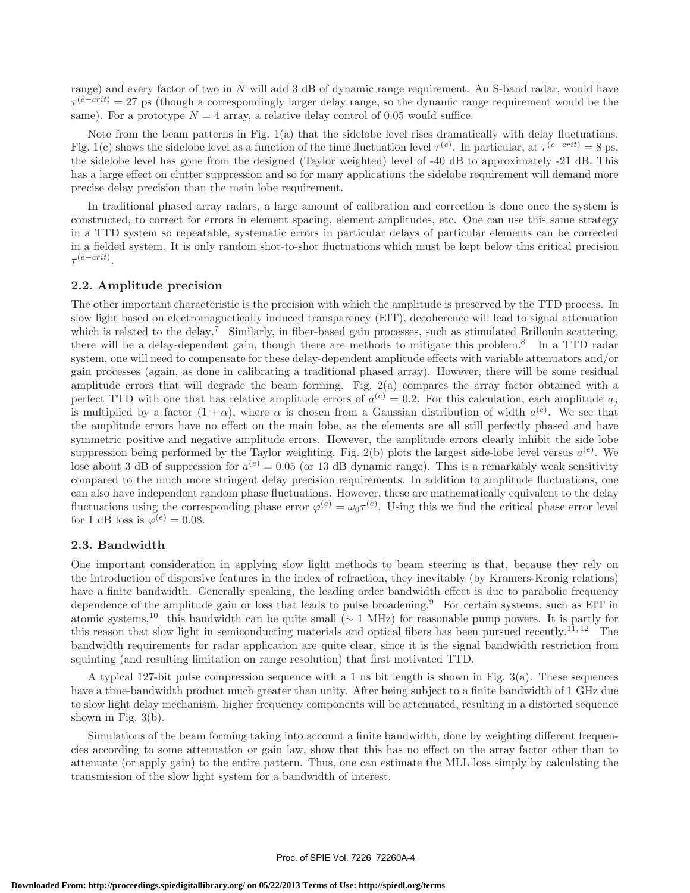range) and every factor of two in N will add 3 dB of dynamic range requirement. An S-band radar, would have  $\tau^{(e-crit)} = 27$  ps (though a correspondingly larger delay range, so the dynamic range requirement would be the same). For a prototype  $N = 4$  array, a relative delay control of 0.05 would suffice.

Note from the beam patterns in Fig. 1(a) that the sidelobe level rises dramatically with delay fluctuations. Fig. 1(c) shows the sidelobe level as a function of the time fluctuation level  $\tau^{(e)}$ . In particular, at  $\tau^{(e-crit)} = 8$  ps, the sidelobe level has gone from the designed (Taylor weighted) level of -40 dB to approximately -21 dB. This has a large effect on clutter suppression and so for many applications the sidelobe requirement will demand more precise delay precision than the main lobe requirement.

In traditional phased array radars, a large amount of calibration and correction is done once the system is constructed, to correct for errors in element spacing, element amplitudes, etc. One can use this same strategy in a TTD system so repeatable, systematic errors in particular delays of particular elements can be corrected in a fielded system. It is only random shot-to-shot fluctuations which must be kept below this critical precision  $\tau^{(e-crit)}$ .

#### **2.2. Amplitude precision**

The other important characteristic is the precision with which the amplitude is preserved by the TTD process. In slow light based on electromagnetically induced transparency (EIT), decoherence will lead to signal attenuation which is related to the delay.<sup>7</sup> Similarly, in fiber-based gain processes, such as stimulated Brillouin scattering, there will be a delay-dependent gain, though there are methods to mitigate this problem.<sup>8</sup> In a TTD radar system, one will need to compensate for these delay-dependent amplitude effects with variable attenuators and/or gain processes (again, as done in calibrating a traditional phased array). However, there will be some residual amplitude errors that will degrade the beam forming. Fig. 2(a) compares the array factor obtained with a perfect TTD with one that has relative amplitude errors of  $a^{(e)} = 0.2$ . For this calculation, each amplitude  $a_i$ is multiplied by a factor  $(1 + \alpha)$ , where  $\alpha$  is chosen from a Gaussian distribution of width  $a^{(e)}$ . We see that the amplitude errors have no effect on the main lobe, as the elements are all still perfectly phased and have symmetric positive and negative amplitude errors. However, the amplitude errors clearly inhibit the side lobe suppression being performed by the Taylor weighting. Fig. 2(b) plots the largest side-lobe level versus  $a^{(e)}$ . We lose about 3 dB of suppression for  $a^{(e)} = 0.05$  (or 13 dB dynamic range). This is a remarkably weak sensitivity compared to the much more stringent delay precision requirements. In addition to amplitude fluctuations, one can also have independent random phase fluctuations. However, these are mathematically equivalent to the delay fluctuations using the corresponding phase error  $\varphi^{(e)} = \omega_0 \tau^{(e)}$ . Using this we find the critical phase error level for 1 dB loss is  $\varphi^{(e)} = 0.08$ .

#### **2.3. Bandwidth**

One important consideration in applying slow light methods to beam steering is that, because they rely on the introduction of dispersive features in the index of refraction, they inevitably (by Kramers-Kronig relations) have a finite bandwidth. Generally speaking, the leading order bandwidth effect is due to parabolic frequency dependence of the amplitude gain or loss that leads to pulse broadening.<sup>9</sup> For certain systems, such as EIT in atomic systems,<sup>10</sup> this bandwidth can be quite small ( $\sim 1$  MHz) for reasonable pump powers. It is partly for this reason that slow light in semiconducting materials and optical fibers has been pursued recently.<sup>11, 12</sup> The bandwidth requirements for radar application are quite clear, since it is the signal bandwidth restriction from squinting (and resulting limitation on range resolution) that first motivated TTD.

A typical 127-bit pulse compression sequence with a 1 ns bit length is shown in Fig. 3(a). These sequences have a time-bandwidth product much greater than unity. After being subject to a finite bandwidth of 1 GHz due to slow light delay mechanism, higher frequency components will be attenuated, resulting in a distorted sequence shown in Fig. 3(b).

Simulations of the beam forming taking into account a finite bandwidth, done by weighting different frequencies according to some attenuation or gain law, show that this has no effect on the array factor other than to attenuate (or apply gain) to the entire pattern. Thus, one can estimate the MLL loss simply by calculating the transmission of the slow light system for a bandwidth of interest.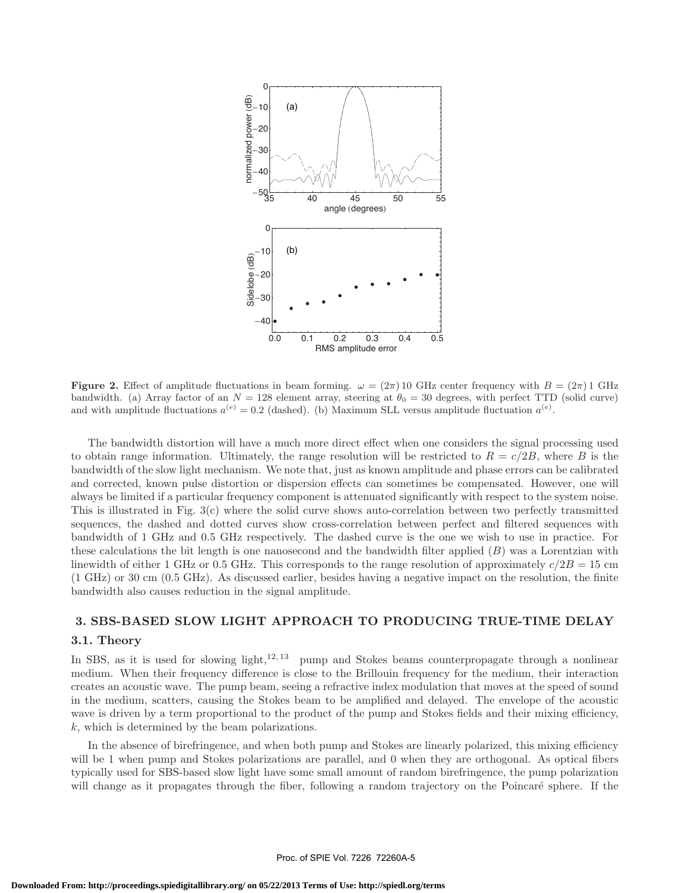

**Figure 2.** Effect of amplitude fluctuations in beam forming.  $\omega = (2\pi)10$  GHz center frequency with  $B = (2\pi)1$  GHz bandwidth. (a) Array factor of an  $N = 128$  element array, steering at  $\theta_0 = 30$  degrees, with perfect TTD (solid curve) and with amplitude fluctuations  $a^{(e)} = 0.2$  (dashed). (b) Maximum SLL versus amplitude fluctuation  $a^{(e)}$ .

The bandwidth distortion will have a much more direct effect when one considers the signal processing used to obtain range information. Ultimately, the range resolution will be restricted to  $R = c/2B$ , where B is the bandwidth of the slow light mechanism. We note that, just as known amplitude and phase errors can be calibrated and corrected, known pulse distortion or dispersion effects can sometimes be compensated. However, one will always be limited if a particular frequency component is attenuated significantly with respect to the system noise. This is illustrated in Fig. 3(c) where the solid curve shows auto-correlation between two perfectly transmitted sequences, the dashed and dotted curves show cross-correlation between perfect and filtered sequences with bandwidth of 1 GHz and 0.5 GHz respectively. The dashed curve is the one we wish to use in practice. For these calculations the bit length is one nanosecond and the bandwidth filter applied (B) was a Lorentzian with linewidth of either 1 GHz or 0.5 GHz. This corresponds to the range resolution of approximately  $c/2B = 15$  cm (1 GHz) or 30 cm (0.5 GHz). As discussed earlier, besides having a negative impact on the resolution, the finite bandwidth also causes reduction in the signal amplitude.

## **3. SBS-BASED SLOW LIGHT APPROACH TO PRODUCING TRUE-TIME DELAY**

### **3.1. Theory**

In SBS, as it is used for slowing light,  $12, 13$  pump and Stokes beams counterpropagate through a nonlinear medium. When their frequency difference is close to the Brillouin frequency for the medium, their interaction creates an acoustic wave. The pump beam, seeing a refractive index modulation that moves at the speed of sound in the medium, scatters, causing the Stokes beam to be amplified and delayed. The envelope of the acoustic wave is driven by a term proportional to the product of the pump and Stokes fields and their mixing efficiency, k, which is determined by the beam polarizations.

In the absence of birefringence, and when both pump and Stokes are linearly polarized, this mixing efficiency will be 1 when pump and Stokes polarizations are parallel, and 0 when they are orthogonal. As optical fibers typically used for SBS-based slow light have some small amount of random birefringence, the pump polarization will change as it propagates through the fiber, following a random trajectory on the Poincaré sphere. If the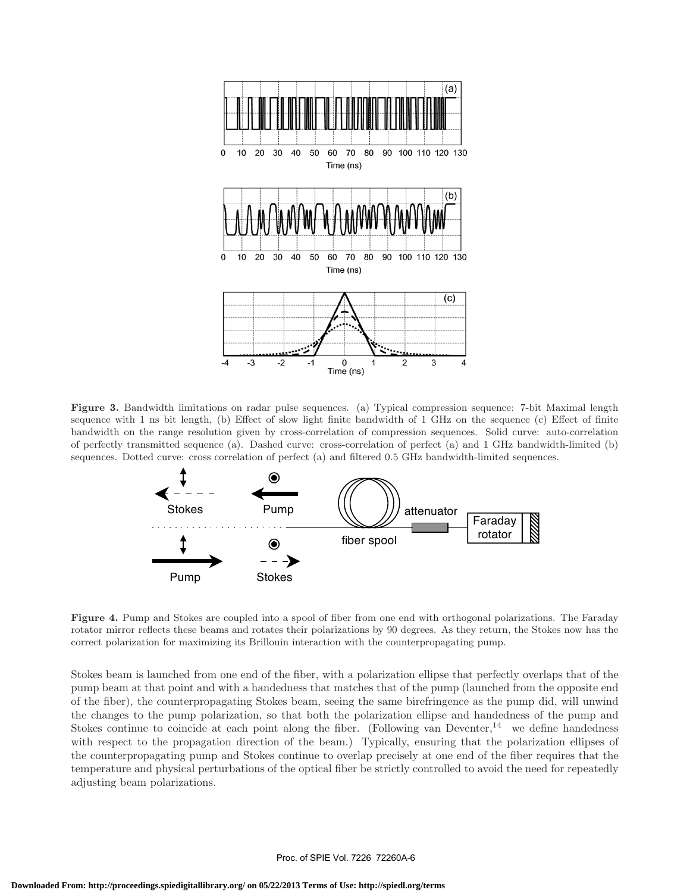

**Figure 3.** Bandwidth limitations on radar pulse sequences. (a) Typical compression sequence: 7-bit Maximal length sequence with 1 ns bit length, (b) Effect of slow light finite bandwidth of 1 GHz on the sequence (c) Effect of finite bandwidth on the range resolution given by cross-correlation of compression sequences. Solid curve: auto-correlation of perfectly transmitted sequence (a). Dashed curve: cross-correlation of perfect (a) and 1 GHz bandwidth-limited (b) sequences. Dotted curve: cross correlation of perfect (a) and filtered 0.5 GHz bandwidth-limited sequences.



**Figure 4.** Pump and Stokes are coupled into a spool of fiber from one end with orthogonal polarizations. The Faraday rotator mirror reflects these beams and rotates their polarizations by 90 degrees. As they return, the Stokes now has the correct polarization for maximizing its Brillouin interaction with the counterpropagating pump.

Stokes beam is launched from one end of the fiber, with a polarization ellipse that perfectly overlaps that of the pump beam at that point and with a handedness that matches that of the pump (launched from the opposite end of the fiber), the counterpropagating Stokes beam, seeing the same birefringence as the pump did, will unwind the changes to the pump polarization, so that both the polarization ellipse and handedness of the pump and Stokes continue to coincide at each point along the fiber. (Following van Deventer,  $^{14}$  we define handedness with respect to the propagation direction of the beam.) Typically, ensuring that the polarization ellipses of the counterpropagating pump and Stokes continue to overlap precisely at one end of the fiber requires that the temperature and physical perturbations of the optical fiber be strictly controlled to avoid the need for repeatedly adjusting beam polarizations.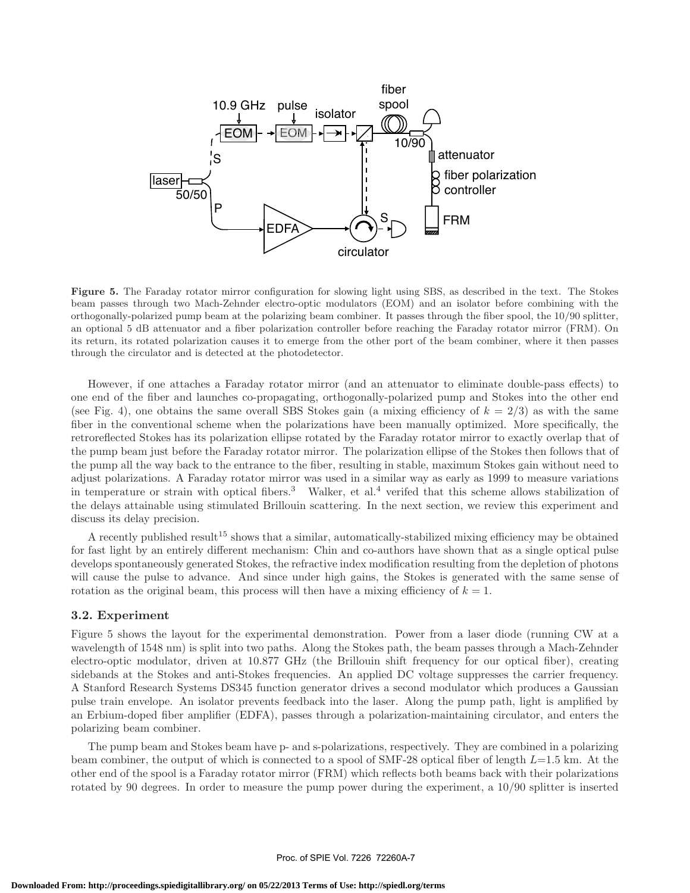

**Figure 5.** The Faraday rotator mirror configuration for slowing light using SBS, as described in the text. The Stokes beam passes through two Mach-Zehnder electro-optic modulators (EOM) and an isolator before combining with the orthogonally-polarized pump beam at the polarizing beam combiner. It passes through the fiber spool, the 10/90 splitter, an optional 5 dB attenuator and a fiber polarization controller before reaching the Faraday rotator mirror (FRM). On its return, its rotated polarization causes it to emerge from the other port of the beam combiner, where it then passes through the circulator and is detected at the photodetector.

However, if one attaches a Faraday rotator mirror (and an attenuator to eliminate double-pass effects) to one end of the fiber and launches co-propagating, orthogonally-polarized pump and Stokes into the other end (see Fig. 4), one obtains the same overall SBS Stokes gain (a mixing efficiency of  $k = 2/3$ ) as with the same fiber in the conventional scheme when the polarizations have been manually optimized. More specifically, the retroreflected Stokes has its polarization ellipse rotated by the Faraday rotator mirror to exactly overlap that of the pump beam just before the Faraday rotator mirror. The polarization ellipse of the Stokes then follows that of the pump all the way back to the entrance to the fiber, resulting in stable, maximum Stokes gain without need to adjust polarizations. A Faraday rotator mirror was used in a similar way as early as 1999 to measure variations in temperature or strain with optical fibers.<sup>3</sup> Walker, et al.<sup>4</sup> verifed that this scheme allows stabilization of the delays attainable using stimulated Brillouin scattering. In the next section, we review this experiment and discuss its delay precision.

A recently published result<sup>15</sup> shows that a similar, automatically-stabilized mixing efficiency may be obtained for fast light by an entirely different mechanism: Chin and co-authors have shown that as a single optical pulse develops spontaneously generated Stokes, the refractive index modification resulting from the depletion of photons will cause the pulse to advance. And since under high gains, the Stokes is generated with the same sense of rotation as the original beam, this process will then have a mixing efficiency of  $k = 1$ .

#### **3.2. Experiment**

Figure 5 shows the layout for the experimental demonstration. Power from a laser diode (running CW at a wavelength of 1548 nm) is split into two paths. Along the Stokes path, the beam passes through a Mach-Zehnder electro-optic modulator, driven at 10.877 GHz (the Brillouin shift frequency for our optical fiber), creating sidebands at the Stokes and anti-Stokes frequencies. An applied DC voltage suppresses the carrier frequency. A Stanford Research Systems DS345 function generator drives a second modulator which produces a Gaussian pulse train envelope. An isolator prevents feedback into the laser. Along the pump path, light is amplified by an Erbium-doped fiber amplifier (EDFA), passes through a polarization-maintaining circulator, and enters the polarizing beam combiner.

The pump beam and Stokes beam have p- and s-polarizations, respectively. They are combined in a polarizing beam combiner, the output of which is connected to a spool of SMF-28 optical fiber of length  $L=1.5$  km. At the other end of the spool is a Faraday rotator mirror (FRM) which reflects both beams back with their polarizations rotated by 90 degrees. In order to measure the pump power during the experiment, a 10/90 splitter is inserted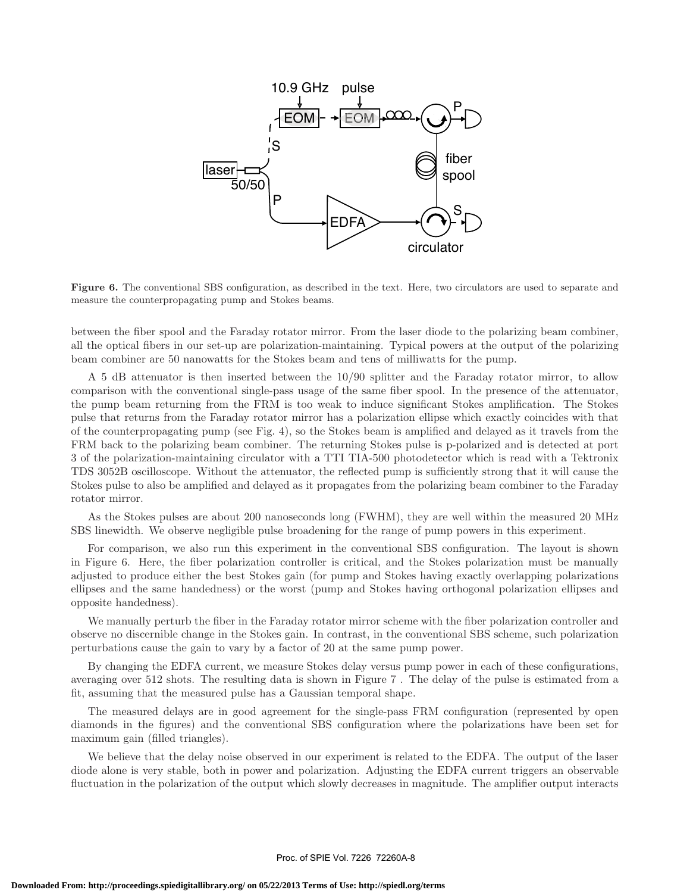

**Figure 6.** The conventional SBS configuration, as described in the text. Here, two circulators are used to separate and measure the counterpropagating pump and Stokes beams.

between the fiber spool and the Faraday rotator mirror. From the laser diode to the polarizing beam combiner, all the optical fibers in our set-up are polarization-maintaining. Typical powers at the output of the polarizing beam combiner are 50 nanowatts for the Stokes beam and tens of milliwatts for the pump.

A 5 dB attenuator is then inserted between the 10/90 splitter and the Faraday rotator mirror, to allow comparison with the conventional single-pass usage of the same fiber spool. In the presence of the attenuator, the pump beam returning from the FRM is too weak to induce significant Stokes amplification. The Stokes pulse that returns from the Faraday rotator mirror has a polarization ellipse which exactly coincides with that of the counterpropagating pump (see Fig. 4), so the Stokes beam is amplified and delayed as it travels from the FRM back to the polarizing beam combiner. The returning Stokes pulse is p-polarized and is detected at port 3 of the polarization-maintaining circulator with a TTI TIA-500 photodetector which is read with a Tektronix TDS 3052B oscilloscope. Without the attenuator, the reflected pump is sufficiently strong that it will cause the Stokes pulse to also be amplified and delayed as it propagates from the polarizing beam combiner to the Faraday rotator mirror.

As the Stokes pulses are about 200 nanoseconds long (FWHM), they are well within the measured 20 MHz SBS linewidth. We observe negligible pulse broadening for the range of pump powers in this experiment.

For comparison, we also run this experiment in the conventional SBS configuration. The layout is shown in Figure 6. Here, the fiber polarization controller is critical, and the Stokes polarization must be manually adjusted to produce either the best Stokes gain (for pump and Stokes having exactly overlapping polarizations ellipses and the same handedness) or the worst (pump and Stokes having orthogonal polarization ellipses and opposite handedness).

We manually perturb the fiber in the Faraday rotator mirror scheme with the fiber polarization controller and observe no discernible change in the Stokes gain. In contrast, in the conventional SBS scheme, such polarization perturbations cause the gain to vary by a factor of 20 at the same pump power.

By changing the EDFA current, we measure Stokes delay versus pump power in each of these configurations, averaging over 512 shots. The resulting data is shown in Figure 7 . The delay of the pulse is estimated from a fit, assuming that the measured pulse has a Gaussian temporal shape.

The measured delays are in good agreement for the single-pass FRM configuration (represented by open diamonds in the figures) and the conventional SBS configuration where the polarizations have been set for maximum gain (filled triangles).

We believe that the delay noise observed in our experiment is related to the EDFA. The output of the laser diode alone is very stable, both in power and polarization. Adjusting the EDFA current triggers an observable fluctuation in the polarization of the output which slowly decreases in magnitude. The amplifier output interacts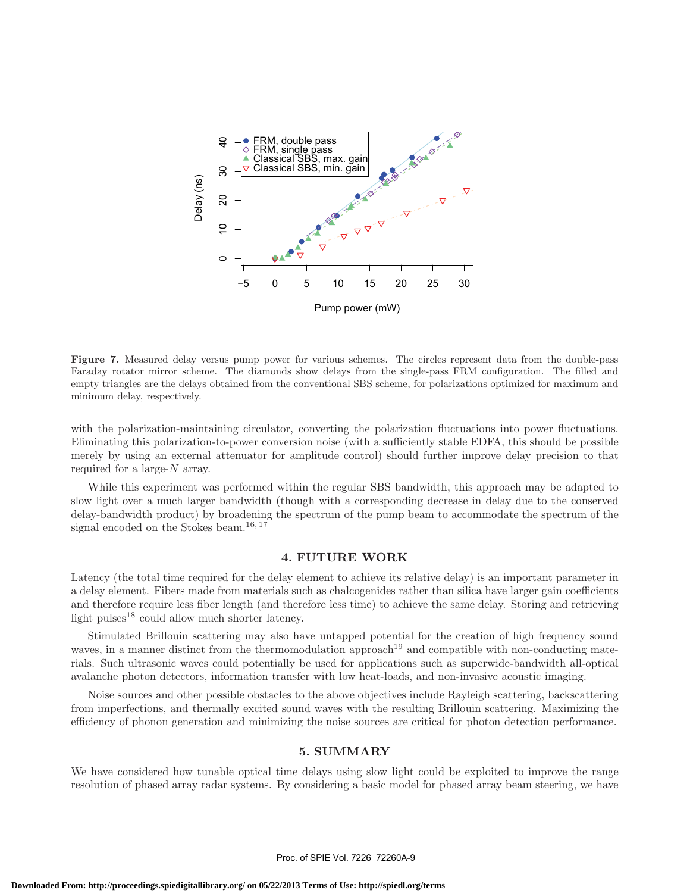

**Figure 7.** Measured delay versus pump power for various schemes. The circles represent data from the double-pass Faraday rotator mirror scheme. The diamonds show delays from the single-pass FRM configuration. The filled and empty triangles are the delays obtained from the conventional SBS scheme, for polarizations optimized for maximum and minimum delay, respectively.

with the polarization-maintaining circulator, converting the polarization fluctuations into power fluctuations. Eliminating this polarization-to-power conversion noise (with a sufficiently stable EDFA, this should be possible merely by using an external attenuator for amplitude control) should further improve delay precision to that required for a large-N array.

While this experiment was performed within the regular SBS bandwidth, this approach may be adapted to slow light over a much larger bandwidth (though with a corresponding decrease in delay due to the conserved delay-bandwidth product) by broadening the spectrum of the pump beam to accommodate the spectrum of the signal encoded on the Stokes beam.<sup>16, 17</sup>

#### **4. FUTURE WORK**

Latency (the total time required for the delay element to achieve its relative delay) is an important parameter in a delay element. Fibers made from materials such as chalcogenides rather than silica have larger gain coefficients and therefore require less fiber length (and therefore less time) to achieve the same delay. Storing and retrieving light pulses<sup>18</sup> could allow much shorter latency.

Stimulated Brillouin scattering may also have untapped potential for the creation of high frequency sound waves, in a manner distinct from the thermomodulation approach<sup>19</sup> and compatible with non-conducting materials. Such ultrasonic waves could potentially be used for applications such as superwide-bandwidth all-optical avalanche photon detectors, information transfer with low heat-loads, and non-invasive acoustic imaging.

Noise sources and other possible obstacles to the above objectives include Rayleigh scattering, backscattering from imperfections, and thermally excited sound waves with the resulting Brillouin scattering. Maximizing the efficiency of phonon generation and minimizing the noise sources are critical for photon detection performance.

#### **5. SUMMARY**

We have considered how tunable optical time delays using slow light could be exploited to improve the range resolution of phased array radar systems. By considering a basic model for phased array beam steering, we have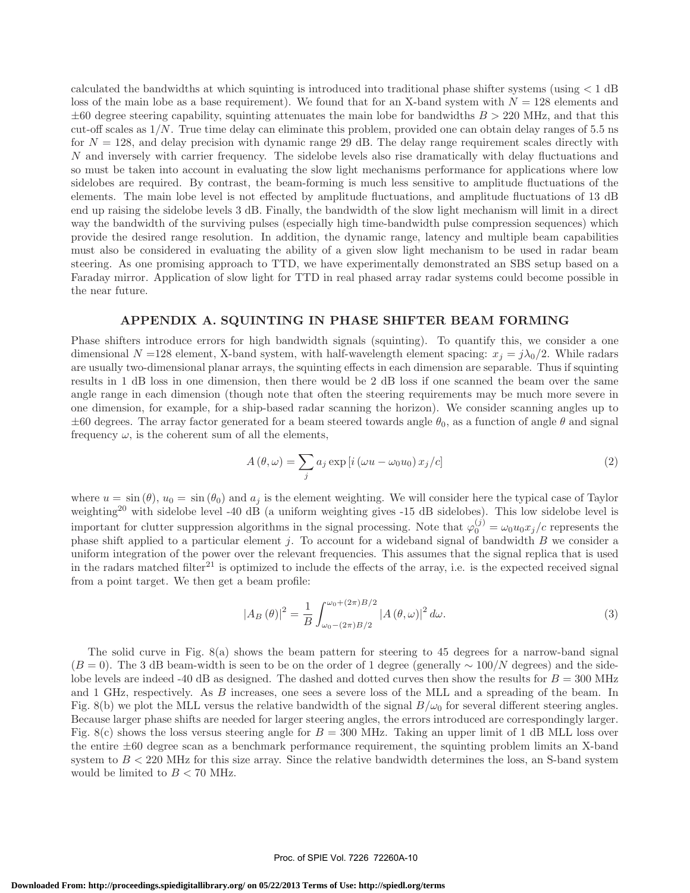calculated the bandwidths at which squinting is introduced into traditional phase shifter systems (using < 1 dB loss of the main lobe as a base requirement). We found that for an X-band system with  $N = 128$  elements and  $\pm 60$  degree steering capability, squinting attenuates the main lobe for bandwidths  $B > 220$  MHz, and that this cut-off scales as 1/N. True time delay can eliminate this problem, provided one can obtain delay ranges of 5.5 ns for  $N = 128$ , and delay precision with dynamic range 29 dB. The delay range requirement scales directly with N and inversely with carrier frequency. The sidelobe levels also rise dramatically with delay fluctuations and so must be taken into account in evaluating the slow light mechanisms performance for applications where low sidelobes are required. By contrast, the beam-forming is much less sensitive to amplitude fluctuations of the elements. The main lobe level is not effected by amplitude fluctuations, and amplitude fluctuations of 13 dB end up raising the sidelobe levels 3 dB. Finally, the bandwidth of the slow light mechanism will limit in a direct way the bandwidth of the surviving pulses (especially high time-bandwidth pulse compression sequences) which provide the desired range resolution. In addition, the dynamic range, latency and multiple beam capabilities must also be considered in evaluating the ability of a given slow light mechanism to be used in radar beam steering. As one promising approach to TTD, we have experimentally demonstrated an SBS setup based on a Faraday mirror. Application of slow light for TTD in real phased array radar systems could become possible in the near future.

#### **APPENDIX A. SQUINTING IN PHASE SHIFTER BEAM FORMING**

Phase shifters introduce errors for high bandwidth signals (squinting). To quantify this, we consider a one dimensional N = 128 element, X-band system, with half-wavelength element spacing:  $x_j = j\lambda_0/2$ . While radars are usually two-dimensional planar arrays, the squinting effects in each dimension are separable. Thus if squinting results in 1 dB loss in one dimension, then there would be 2 dB loss if one scanned the beam over the same angle range in each dimension (though note that often the steering requirements may be much more severe in one dimension, for example, for a ship-based radar scanning the horizon). We consider scanning angles up to  $\pm 60$  degrees. The array factor generated for a beam steered towards angle  $\theta_0$ , as a function of angle  $\theta$  and signal frequency  $\omega$ , is the coherent sum of all the elements,

$$
A(\theta,\omega) = \sum_{j} a_j \exp[i(\omega u - \omega_0 u_0) x_j/c]
$$
 (2)

where  $u = \sin(\theta)$ ,  $u_0 = \sin(\theta_0)$  and  $a_i$  is the element weighting. We will consider here the typical case of Taylor weighting<sup>20</sup> with sidelobe level -40 dB (a uniform weighting gives -15 dB sidelobes). This low sidelobe level is important for clutter suppression algorithms in the signal processing. Note that  $\varphi_0^{(j)} = \omega_0 u_0 x_j/c$  represents the phase shift applied to a particular element j. To account for a wideband signal of bandwidth  $B$  we consider a uniform integration of the power over the relevant frequencies. This assumes that the signal replica that is used in the radars matched filter<sup>21</sup> is optimized to include the effects of the array, i.e. is the expected received signal from a point target. We then get a beam profile:

$$
\left|A_B\left(\theta\right)\right|^2 = \frac{1}{B} \int_{\omega_0 - (2\pi)B/2}^{\omega_0 + (2\pi)B/2} \left|A\left(\theta, \omega\right)\right|^2 d\omega. \tag{3}
$$

The solid curve in Fig. 8(a) shows the beam pattern for steering to 45 degrees for a narrow-band signal  $(B = 0)$ . The 3 dB beam-width is seen to be on the order of 1 degree (generally ~ 100/N degrees) and the sidelobe levels are indeed -40 dB as designed. The dashed and dotted curves then show the results for  $B = 300$  MHz and 1 GHz, respectively. As B increases, one sees a severe loss of the MLL and a spreading of the beam. In Fig. 8(b) we plot the MLL versus the relative bandwidth of the signal  $B/\omega_0$  for several different steering angles. Because larger phase shifts are needed for larger steering angles, the errors introduced are correspondingly larger. Fig. 8(c) shows the loss versus steering angle for  $B = 300$  MHz. Taking an upper limit of 1 dB MLL loss over the entire  $\pm 60$  degree scan as a benchmark performance requirement, the squinting problem limits an X-band system to  $B < 220$  MHz for this size array. Since the relative bandwidth determines the loss, an S-band system would be limited to  $B < 70$  MHz.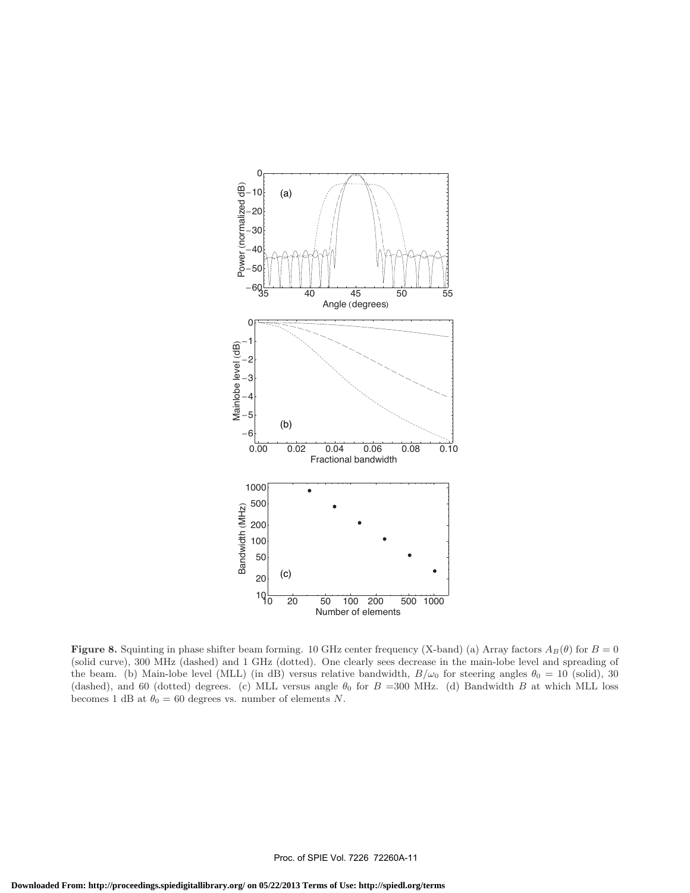

**Figure 8.** Squinting in phase shifter beam forming. 10 GHz center frequency (X-band) (a) Array factors  $A_B(\theta)$  for  $B = 0$ (solid curve), 300 MHz (dashed) and 1 GHz (dotted). One clearly sees decrease in the main-lobe level and spreading of the beam. (b) Main-lobe level (MLL) (in dB) versus relative bandwidth,  $B/\omega_0$  for steering angles  $\theta_0 = 10$  (solid), 30 (dashed), and 60 (dotted) degrees. (c) MLL versus angle  $\theta_0$  for B =300 MHz. (d) Bandwidth B at which MLL loss becomes 1 dB at  $\theta_0 = 60$  degrees vs. number of elements N.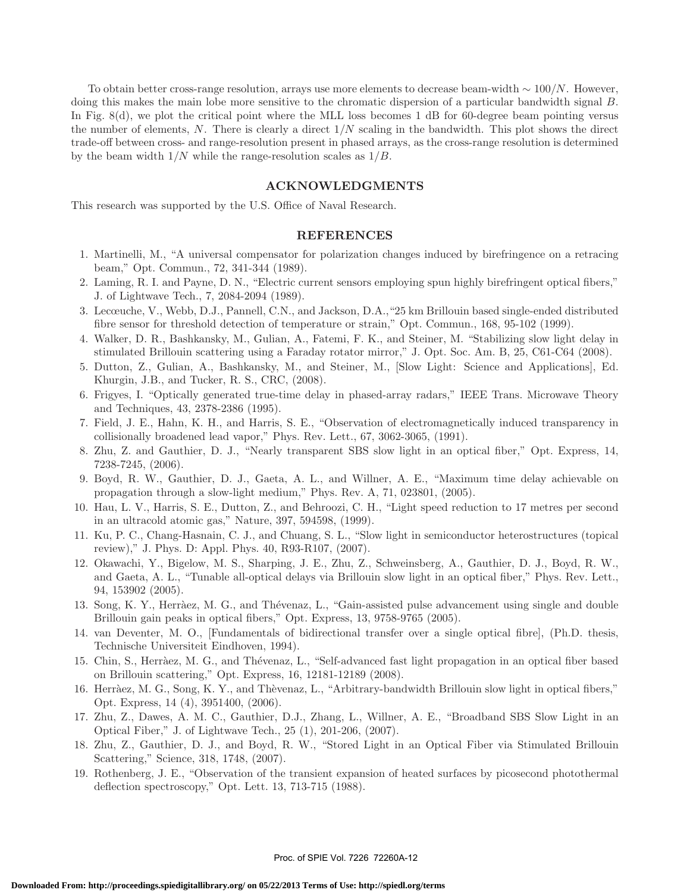To obtain better cross-range resolution, arrays use more elements to decrease beam-width  $\sim 100/N$ . However, doing this makes the main lobe more sensitive to the chromatic dispersion of a particular bandwidth signal B. In Fig. 8(d), we plot the critical point where the MLL loss becomes 1 dB for 60-degree beam pointing versus the number of elements,  $N$ . There is clearly a direct  $1/N$  scaling in the bandwidth. This plot shows the direct trade-off between cross- and range-resolution present in phased arrays, as the cross-range resolution is determined by the beam width  $1/N$  while the range-resolution scales as  $1/B$ .

#### **ACKNOWLEDGMENTS**

This research was supported by the U.S. Office of Naval Research.

#### **REFERENCES**

- 1. Martinelli, M., "A universal compensator for polarization changes induced by birefringence on a retracing beam," Opt. Commun., 72, 341-344 (1989).
- 2. Laming, R. I. and Payne, D. N., "Electric current sensors employing spun highly birefringent optical fibers," J. of Lightwave Tech., 7, 2084-2094 (1989).
- 3. Lecœuche, V., Webb, D.J., Pannell, C.N., and Jackson, D.A.,"25 km Brillouin based single-ended distributed fibre sensor for threshold detection of temperature or strain," Opt. Commun., 168, 95-102 (1999).
- 4. Walker, D. R., Bashkansky, M., Gulian, A., Fatemi, F. K., and Steiner, M. "Stabilizing slow light delay in stimulated Brillouin scattering using a Faraday rotator mirror," J. Opt. Soc. Am. B, 25, C61-C64 (2008).
- 5. Dutton, Z., Gulian, A., Bashkansky, M., and Steiner, M., [Slow Light: Science and Applications], Ed. Khurgin, J.B., and Tucker, R. S., CRC, (2008).
- 6. Frigyes, I. "Optically generated true-time delay in phased-array radars," IEEE Trans. Microwave Theory and Techniques, 43, 2378-2386 (1995).
- 7. Field, J. E., Hahn, K. H., and Harris, S. E., "Observation of electromagnetically induced transparency in collisionally broadened lead vapor," Phys. Rev. Lett., 67, 3062-3065, (1991).
- 8. Zhu, Z. and Gauthier, D. J., "Nearly transparent SBS slow light in an optical fiber," Opt. Express, 14, 7238-7245, (2006).
- 9. Boyd, R. W., Gauthier, D. J., Gaeta, A. L., and Willner, A. E., "Maximum time delay achievable on propagation through a slow-light medium," Phys. Rev. A, 71, 023801, (2005).
- 10. Hau, L. V., Harris, S. E., Dutton, Z., and Behroozi, C. H., "Light speed reduction to 17 metres per second in an ultracold atomic gas," Nature, 397, 594598, (1999).
- 11. Ku, P. C., Chang-Hasnain, C. J., and Chuang, S. L., "Slow light in semiconductor heterostructures (topical review)," J. Phys. D: Appl. Phys. 40, R93-R107, (2007).
- 12. Okawachi, Y., Bigelow, M. S., Sharping, J. E., Zhu, Z., Schweinsberg, A., Gauthier, D. J., Boyd, R. W., and Gaeta, A. L., "Tunable all-optical delays via Brillouin slow light in an optical fiber," Phys. Rev. Lett., 94, 153902 (2005).
- 13. Song, K. Y., Herràez, M. G., and Thévenaz, L., "Gain-assisted pulse advancement using single and double Brillouin gain peaks in optical fibers," Opt. Express, 13, 9758-9765 (2005).
- 14. van Deventer, M. O., [Fundamentals of bidirectional transfer over a single optical fibre], (Ph.D. thesis, Technische Universiteit Eindhoven, 1994).
- 15. Chin, S., Herràez, M. G., and Thévenaz, L., "Self-advanced fast light propagation in an optical fiber based on Brillouin scattering," Opt. Express, 16, 12181-12189 (2008).
- 16. Herràez, M. G., Song, K. Y., and Thèvenaz, L., "Arbitrary-bandwidth Brillouin slow light in optical fibers," Opt. Express, 14 (4), 3951400, (2006).
- 17. Zhu, Z., Dawes, A. M. C., Gauthier, D.J., Zhang, L., Willner, A. E., "Broadband SBS Slow Light in an Optical Fiber," J. of Lightwave Tech., 25 (1), 201-206, (2007).
- 18. Zhu, Z., Gauthier, D. J., and Boyd, R. W., "Stored Light in an Optical Fiber via Stimulated Brillouin Scattering," Science, 318, 1748, (2007).
- 19. Rothenberg, J. E., "Observation of the transient expansion of heated surfaces by picosecond photothermal deflection spectroscopy," Opt. Lett. 13, 713-715 (1988).